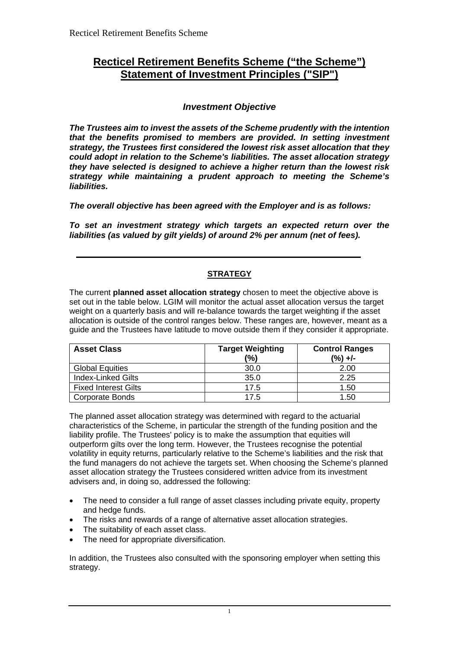# **Recticel Retirement Benefits Scheme ("the Scheme") Statement of Investment Principles ("SIP")**

## *Investment Objective*

*The Trustees aim to invest the assets of the Scheme prudently with the intention that the benefits promised to members are provided. In setting investment strategy, the Trustees first considered the lowest risk asset allocation that they could adopt in relation to the Scheme's liabilities. The asset allocation strategy they have selected is designed to achieve a higher return than the lowest risk strategy while maintaining a prudent approach to meeting the Scheme's liabilities.*

*The overall objective has been agreed with the Employer and is as follows:* 

*To set an investment strategy which targets an expected return over the liabilities (as valued by gilt yields) of around 2% per annum (net of fees).* 

## **STRATEGY**

The current **planned asset allocation strategy** chosen to meet the objective above is set out in the table below. LGIM will monitor the actual asset allocation versus the target weight on a quarterly basis and will re-balance towards the target weighting if the asset allocation is outside of the control ranges below. These ranges are, however, meant as a guide and the Trustees have latitude to move outside them if they consider it appropriate.

| <b>Asset Class</b>          | <b>Target Weighting</b><br>(%) | <b>Control Ranges</b><br>$(\%) +/-$ |
|-----------------------------|--------------------------------|-------------------------------------|
| <b>Global Equities</b>      | 30.0                           | 2.00                                |
| <b>Index-Linked Gilts</b>   | 35.0                           | 2.25                                |
| <b>Fixed Interest Gilts</b> | 17.5                           | 1.50                                |
| <b>Corporate Bonds</b>      | 17.5                           | 1.50                                |

The planned asset allocation strategy was determined with regard to the actuarial characteristics of the Scheme, in particular the strength of the funding position and the liability profile. The Trustees' policy is to make the assumption that equities will outperform gilts over the long term. However, the Trustees recognise the potential volatility in equity returns, particularly relative to the Scheme's liabilities and the risk that the fund managers do not achieve the targets set. When choosing the Scheme's planned asset allocation strategy the Trustees considered written advice from its investment advisers and, in doing so, addressed the following:

- The need to consider a full range of asset classes including private equity, property and hedge funds.
- The risks and rewards of a range of alternative asset allocation strategies.
- The suitability of each asset class.
- The need for appropriate diversification.

In addition, the Trustees also consulted with the sponsoring employer when setting this strategy.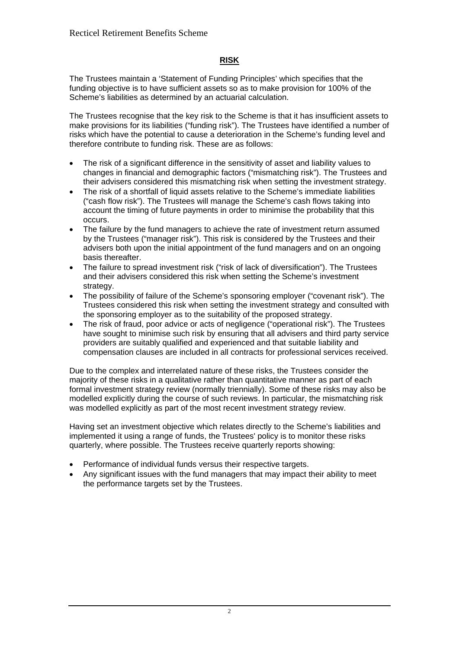## **RISK**

The Trustees maintain a 'Statement of Funding Principles' which specifies that the funding objective is to have sufficient assets so as to make provision for 100% of the Scheme's liabilities as determined by an actuarial calculation.

The Trustees recognise that the key risk to the Scheme is that it has insufficient assets to make provisions for its liabilities ("funding risk"). The Trustees have identified a number of risks which have the potential to cause a deterioration in the Scheme's funding level and therefore contribute to funding risk. These are as follows:

- The risk of a significant difference in the sensitivity of asset and liability values to changes in financial and demographic factors ("mismatching risk"). The Trustees and their advisers considered this mismatching risk when setting the investment strategy.
- The risk of a shortfall of liquid assets relative to the Scheme's immediate liabilities ("cash flow risk"). The Trustees will manage the Scheme's cash flows taking into account the timing of future payments in order to minimise the probability that this occurs.
- The failure by the fund managers to achieve the rate of investment return assumed by the Trustees ("manager risk"). This risk is considered by the Trustees and their advisers both upon the initial appointment of the fund managers and on an ongoing basis thereafter.
- The failure to spread investment risk ("risk of lack of diversification"). The Trustees and their advisers considered this risk when setting the Scheme's investment strategy.
- The possibility of failure of the Scheme's sponsoring employer ("covenant risk"). The Trustees considered this risk when setting the investment strategy and consulted with the sponsoring employer as to the suitability of the proposed strategy.
- The risk of fraud, poor advice or acts of negligence ("operational risk"). The Trustees have sought to minimise such risk by ensuring that all advisers and third party service providers are suitably qualified and experienced and that suitable liability and compensation clauses are included in all contracts for professional services received.

Due to the complex and interrelated nature of these risks, the Trustees consider the majority of these risks in a qualitative rather than quantitative manner as part of each formal investment strategy review (normally triennially). Some of these risks may also be modelled explicitly during the course of such reviews. In particular, the mismatching risk was modelled explicitly as part of the most recent investment strategy review.

Having set an investment objective which relates directly to the Scheme's liabilities and implemented it using a range of funds, the Trustees' policy is to monitor these risks quarterly, where possible. The Trustees receive quarterly reports showing:

- Performance of individual funds versus their respective targets.
- Any significant issues with the fund managers that may impact their ability to meet the performance targets set by the Trustees.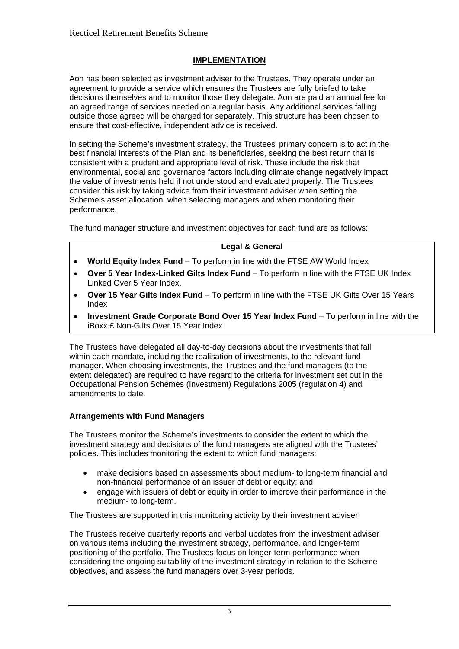## **IMPLEMENTATION**

Aon has been selected as investment adviser to the Trustees. They operate under an agreement to provide a service which ensures the Trustees are fully briefed to take decisions themselves and to monitor those they delegate. Aon are paid an annual fee for an agreed range of services needed on a regular basis. Any additional services falling outside those agreed will be charged for separately. This structure has been chosen to ensure that cost-effective, independent advice is received.

In setting the Scheme's investment strategy, the Trustees' primary concern is to act in the best financial interests of the Plan and its beneficiaries, seeking the best return that is consistent with a prudent and appropriate level of risk. These include the risk that environmental, social and governance factors including climate change negatively impact the value of investments held if not understood and evaluated properly. The Trustees consider this risk by taking advice from their investment adviser when setting the Scheme's asset allocation, when selecting managers and when monitoring their performance.

The fund manager structure and investment objectives for each fund are as follows:

## **Legal & General**

- **World Equity Index Fund** To perform in line with the FTSE AW World Index
- **Over 5 Year Index-Linked Gilts Index Fund** To perform in line with the FTSE UK Index Linked Over 5 Year Index.
- **Over 15 Year Gilts Index Fund** To perform in line with the FTSE UK Gilts Over 15 Years Index
- **Investment Grade Corporate Bond Over 15 Year Index Fund** To perform in line with the iBoxx £ Non-Gilts Over 15 Year Index

The Trustees have delegated all day-to-day decisions about the investments that fall within each mandate, including the realisation of investments, to the relevant fund manager. When choosing investments, the Trustees and the fund managers (to the extent delegated) are required to have regard to the criteria for investment set out in the Occupational Pension Schemes (Investment) Regulations 2005 (regulation 4) and amendments to date.

## **Arrangements with Fund Managers**

The Trustees monitor the Scheme's investments to consider the extent to which the investment strategy and decisions of the fund managers are aligned with the Trustees' policies. This includes monitoring the extent to which fund managers:

- make decisions based on assessments about medium- to long-term financial and non-financial performance of an issuer of debt or equity; and
- engage with issuers of debt or equity in order to improve their performance in the medium- to long-term.

The Trustees are supported in this monitoring activity by their investment adviser.

The Trustees receive quarterly reports and verbal updates from the investment adviser on various items including the investment strategy, performance, and longer-term positioning of the portfolio. The Trustees focus on longer-term performance when considering the ongoing suitability of the investment strategy in relation to the Scheme objectives, and assess the fund managers over 3-year periods.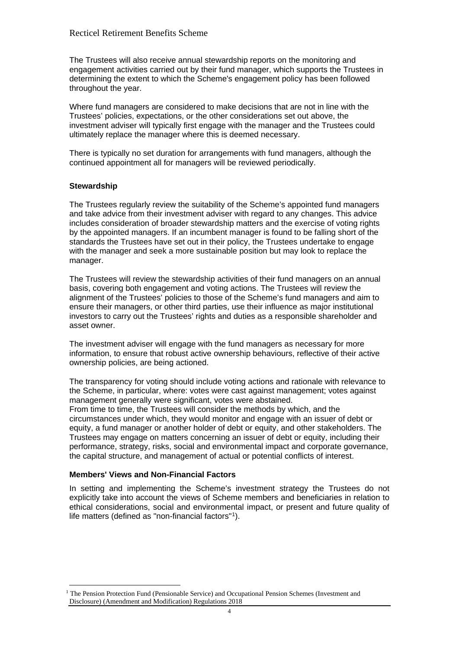The Trustees will also receive annual stewardship reports on the monitoring and engagement activities carried out by their fund manager, which supports the Trustees in determining the extent to which the Scheme's engagement policy has been followed throughout the year.

Where fund managers are considered to make decisions that are not in line with the Trustees' policies, expectations, or the other considerations set out above, the investment adviser will typically first engage with the manager and the Trustees could ultimately replace the manager where this is deemed necessary.

There is typically no set duration for arrangements with fund managers, although the continued appointment all for managers will be reviewed periodically.

## **Stewardship**

The Trustees regularly review the suitability of the Scheme's appointed fund managers and take advice from their investment adviser with regard to any changes. This advice includes consideration of broader stewardship matters and the exercise of voting rights by the appointed managers. If an incumbent manager is found to be falling short of the standards the Trustees have set out in their policy, the Trustees undertake to engage with the manager and seek a more sustainable position but may look to replace the manager.

The Trustees will review the stewardship activities of their fund managers on an annual basis, covering both engagement and voting actions. The Trustees will review the alignment of the Trustees' policies to those of the Scheme's fund managers and aim to ensure their managers, or other third parties, use their influence as major institutional investors to carry out the Trustees' rights and duties as a responsible shareholder and asset owner.

The investment adviser will engage with the fund managers as necessary for more information, to ensure that robust active ownership behaviours, reflective of their active ownership policies, are being actioned.

The transparency for voting should include voting actions and rationale with relevance to the Scheme, in particular, where: votes were cast against management; votes against management generally were significant, votes were abstained. From time to time, the Trustees will consider the methods by which, and the circumstances under which, they would monitor and engage with an issuer of debt or equity, a fund manager or another holder of debt or equity, and other stakeholders. The Trustees may engage on matters concerning an issuer of debt or equity, including their performance, strategy, risks, social and environmental impact and corporate governance, the capital structure, and management of actual or potential conflicts of interest.

#### **Members' Views and Non-Financial Factors**

In setting and implementing the Scheme's investment strategy the Trustees do not explicitly take into account the views of Scheme members and beneficiaries in relation to ethical considerations, social and environmental impact, or present and future quality of life matters (defined as "non-financial factors"[1\)](#page-3-0).

<span id="page-3-0"></span><sup>&</sup>lt;sup>1</sup> The Pension Protection Fund (Pensionable Service) and Occupational Pension Schemes (Investment and Disclosure) (Amendment and Modification) Regulations 2018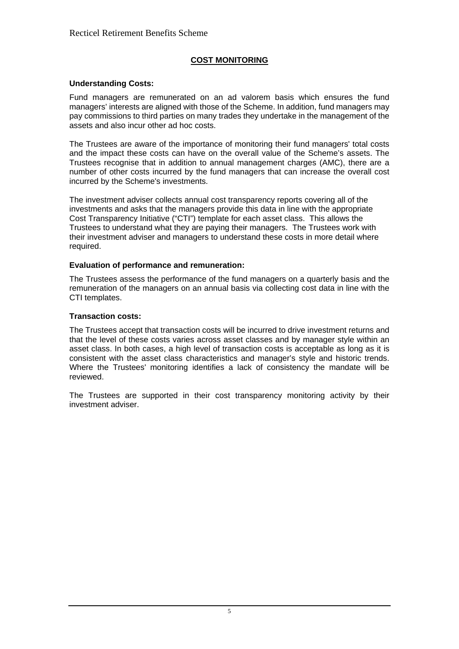## **COST MONITORING**

## **Understanding Costs:**

Fund managers are remunerated on an ad valorem basis which ensures the fund managers' interests are aligned with those of the Scheme. In addition, fund managers may pay commissions to third parties on many trades they undertake in the management of the assets and also incur other ad hoc costs.

The Trustees are aware of the importance of monitoring their fund managers' total costs and the impact these costs can have on the overall value of the Scheme's assets. The Trustees recognise that in addition to annual management charges (AMC), there are a number of other costs incurred by the fund managers that can increase the overall cost incurred by the Scheme's investments.

The investment adviser collects annual cost transparency reports covering all of the investments and asks that the managers provide this data in line with the appropriate Cost Transparency Initiative ("CTI") template for each asset class. This allows the Trustees to understand what they are paying their managers. The Trustees work with their investment adviser and managers to understand these costs in more detail where required.

## **Evaluation of performance and remuneration:**

The Trustees assess the performance of the fund managers on a quarterly basis and the remuneration of the managers on an annual basis via collecting cost data in line with the CTI templates.

## **Transaction costs:**

The Trustees accept that transaction costs will be incurred to drive investment returns and that the level of these costs varies across asset classes and by manager style within an asset class. In both cases, a high level of transaction costs is acceptable as long as it is consistent with the asset class characteristics and manager's style and historic trends. Where the Trustees' monitoring identifies a lack of consistency the mandate will be reviewed.

The Trustees are supported in their cost transparency monitoring activity by their investment adviser.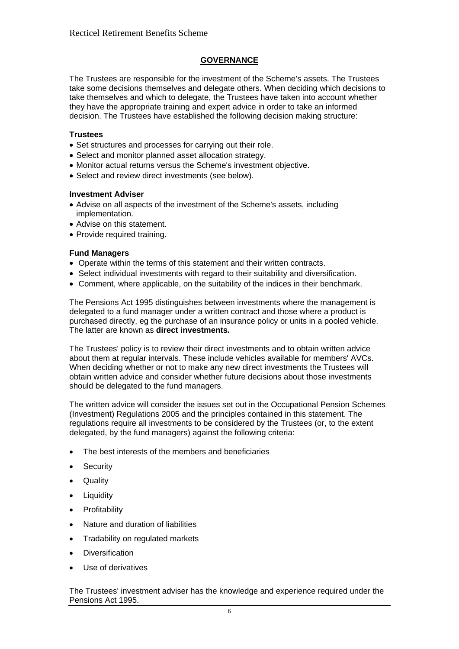## **GOVERNANCE**

The Trustees are responsible for the investment of the Scheme's assets. The Trustees take some decisions themselves and delegate others. When deciding which decisions to take themselves and which to delegate, the Trustees have taken into account whether they have the appropriate training and expert advice in order to take an informed decision. The Trustees have established the following decision making structure:

## **Trustees**

- Set structures and processes for carrying out their role.
- Select and monitor planned asset allocation strategy.
- Monitor actual returns versus the Scheme's investment objective.
- Select and review direct investments (see below).

#### **Investment Adviser**

- Advise on all aspects of the investment of the Scheme's assets, including implementation.
- Advise on this statement.
- Provide required training.

#### **Fund Managers**

- Operate within the terms of this statement and their written contracts.
- Select individual investments with regard to their suitability and diversification.
- Comment, where applicable, on the suitability of the indices in their benchmark.

The Pensions Act 1995 distinguishes between investments where the management is delegated to a fund manager under a written contract and those where a product is purchased directly, eg the purchase of an insurance policy or units in a pooled vehicle. The latter are known as **direct investments.**

The Trustees' policy is to review their direct investments and to obtain written advice about them at regular intervals. These include vehicles available for members' AVCs. When deciding whether or not to make any new direct investments the Trustees will obtain written advice and consider whether future decisions about those investments should be delegated to the fund managers.

The written advice will consider the issues set out in the Occupational Pension Schemes (Investment) Regulations 2005 and the principles contained in this statement. The regulations require all investments to be considered by the Trustees (or, to the extent delegated, by the fund managers) against the following criteria:

- The best interests of the members and beneficiaries
- Security
- Quality
- Liquidity
- Profitability
- Nature and duration of liabilities
- Tradability on regulated markets
- Diversification
- Use of derivatives

The Trustees' investment adviser has the knowledge and experience required under the Pensions Act 1995.

6